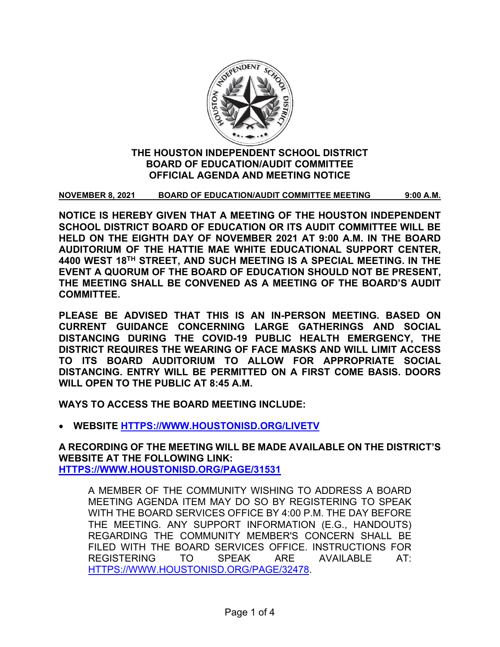

# **THE HOUSTON INDEPENDENT SCHOOL DISTRICT BOARD OF EDUCATION/AUDIT COMMITTEE OFFICIAL AGENDA AND MEETING NOTICE**

**NOVEMBER 8, 2021 BOARD OF EDUCATION/AUDIT COMMITTEE MEETING 9:00 A.M.**

**NOTICE IS HEREBY GIVEN THAT A MEETING OF THE HOUSTON INDEPENDENT SCHOOL DISTRICT BOARD OF EDUCATION OR ITS AUDIT COMMITTEE WILL BE HELD ON THE EIGHTH DAY OF NOVEMBER 2021 AT 9:00 A.M. IN THE BOARD AUDITORIUM OF THE HATTIE MAE WHITE EDUCATIONAL SUPPORT CENTER, 4400 WEST 18TH STREET, AND SUCH MEETING IS A SPECIAL MEETING. IN THE EVENT A QUORUM OF THE BOARD OF EDUCATION SHOULD NOT BE PRESENT, THE MEETING SHALL BE CONVENED AS A MEETING OF THE BOARD'S AUDIT COMMITTEE.**

**PLEASE BE ADVISED THAT THIS IS AN IN-PERSON MEETING. BASED ON CURRENT GUIDANCE CONCERNING LARGE GATHERINGS AND SOCIAL DISTANCING DURING THE COVID-19 PUBLIC HEALTH EMERGENCY, THE DISTRICT REQUIRES THE WEARING OF FACE MASKS AND WILL LIMIT ACCESS TO ITS BOARD AUDITORIUM TO ALLOW FOR APPROPRIATE SOCIAL DISTANCING. ENTRY WILL BE PERMITTED ON A FIRST COME BASIS. DOORS WILL OPEN TO THE PUBLIC AT 8:45 A.M.**

**WAYS TO ACCESS THE BOARD MEETING INCLUDE:**

• **WEBSITE [HTTPS://WWW.HOUSTONISD.ORG/LIVETV](https://www.houstonisd.org/livetv)**

**A RECORDING OF THE MEETING WILL BE MADE AVAILABLE ON THE DISTRICT'S WEBSITE AT THE FOLLOWING LINK: [HTTPS://WWW.HOUSTONISD.ORG/PAGE/31531](https://www.houstonisd.org/Page/31531)**

A MEMBER OF THE COMMUNITY WISHING TO ADDRESS A BOARD MEETING AGENDA ITEM MAY DO SO BY REGISTERING TO SPEAK WITH THE BOARD SERVICES OFFICE BY 4:00 P.M. THE DAY BEFORE THE MEETING. ANY SUPPORT INFORMATION (E.G., HANDOUTS) REGARDING THE COMMUNITY MEMBER'S CONCERN SHALL BE FILED WITH THE BOARD SERVICES OFFICE. INSTRUCTIONS FOR REGISTERING TO SPEAK ARE AVAILABLE AT: [HTTPS://WWW.HOUSTONISD.ORG/PAGE/32478.](https://www.houstonisd.org/Page/32478)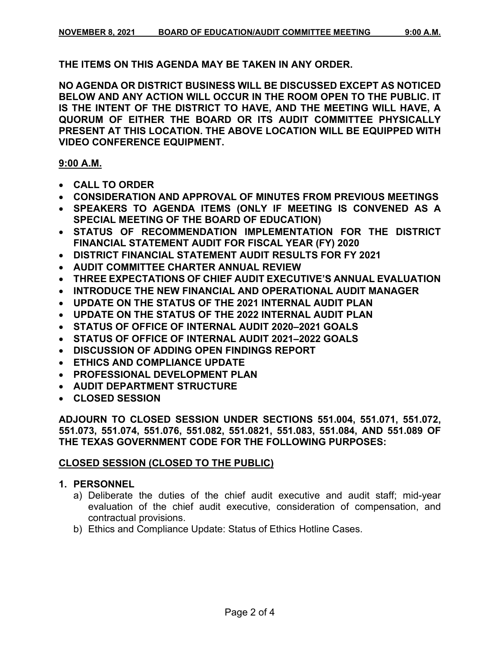**THE ITEMS ON THIS AGENDA MAY BE TAKEN IN ANY ORDER.**

**NO AGENDA OR DISTRICT BUSINESS WILL BE DISCUSSED EXCEPT AS NOTICED BELOW AND ANY ACTION WILL OCCUR IN THE ROOM OPEN TO THE PUBLIC. IT IS THE INTENT OF THE DISTRICT TO HAVE, AND THE MEETING WILL HAVE, A QUORUM OF EITHER THE BOARD OR ITS AUDIT COMMITTEE PHYSICALLY PRESENT AT THIS LOCATION. THE ABOVE LOCATION WILL BE EQUIPPED WITH VIDEO CONFERENCE EQUIPMENT.**

### **9:00 A.M.**

- **CALL TO ORDER**
- **CONSIDERATION AND APPROVAL OF MINUTES FROM PREVIOUS MEETINGS**
- **SPEAKERS TO AGENDA ITEMS (ONLY IF MEETING IS CONVENED AS A SPECIAL MEETING OF THE BOARD OF EDUCATION)**
- **STATUS OF RECOMMENDATION IMPLEMENTATION FOR THE DISTRICT FINANCIAL STATEMENT AUDIT FOR FISCAL YEAR (FY) 2020**
- **DISTRICT FINANCIAL STATEMENT AUDIT RESULTS FOR FY 2021**
- **AUDIT COMMITTEE CHARTER ANNUAL REVIEW**
- **THREE EXPECTATIONS OF CHIEF AUDIT EXECUTIVE'S ANNUAL EVALUATION**
- **INTRODUCE THE NEW FINANCIAL AND OPERATIONAL AUDIT MANAGER**
- **UPDATE ON THE STATUS OF THE 2021 INTERNAL AUDIT PLAN**
- **UPDATE ON THE STATUS OF THE 2022 INTERNAL AUDIT PLAN**
- **STATUS OF OFFICE OF INTERNAL AUDIT 2020–2021 GOALS**
- **STATUS OF OFFICE OF INTERNAL AUDIT 2021–2022 GOALS**
- **DISCUSSION OF ADDING OPEN FINDINGS REPORT**
- **ETHICS AND COMPLIANCE UPDATE**
- **PROFESSIONAL DEVELOPMENT PLAN**
- **AUDIT DEPARTMENT STRUCTURE**
- **CLOSED SESSION**

**ADJOURN TO CLOSED SESSION UNDER SECTIONS 551.004, 551.071, 551.072, 551.073, 551.074, 551.076, 551.082, 551.0821, 551.083, 551.084, AND 551.089 OF THE TEXAS GOVERNMENT CODE FOR THE FOLLOWING PURPOSES:**

# **CLOSED SESSION (CLOSED TO THE PUBLIC)**

# **1. PERSONNEL**

- a) Deliberate the duties of the chief audit executive and audit staff; mid-year evaluation of the chief audit executive, consideration of compensation, and contractual provisions.
- b) Ethics and Compliance Update: Status of Ethics Hotline Cases.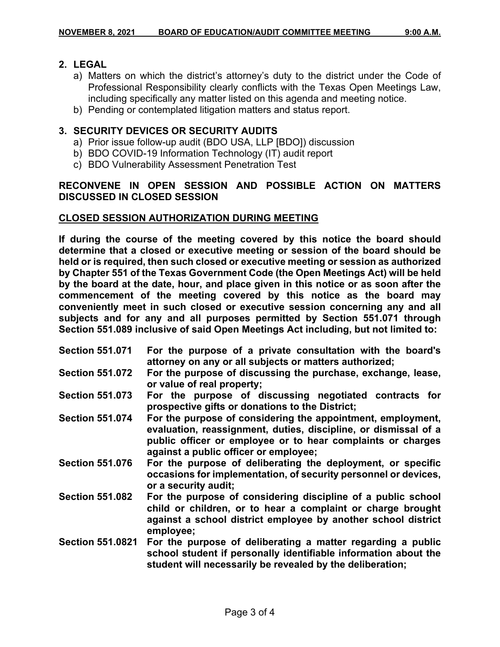#### **2. LEGAL**

- a) Matters on which the district's attorney's duty to the district under the Code of Professional Responsibility clearly conflicts with the Texas Open Meetings Law, including specifically any matter listed on this agenda and meeting notice.
- b) Pending or contemplated litigation matters and status report.

### **3. SECURITY DEVICES OR SECURITY AUDITS**

- a) Prior issue follow-up audit (BDO USA, LLP [BDO]) discussion
- b) BDO COVID-19 Information Technology (IT) audit report
- c) BDO Vulnerability Assessment Penetration Test

# **RECONVENE IN OPEN SESSION AND POSSIBLE ACTION ON MATTERS DISCUSSED IN CLOSED SESSION**

#### **CLOSED SESSION AUTHORIZATION DURING MEETING**

**If during the course of the meeting covered by this notice the board should determine that a closed or executive meeting or session of the board should be held or is required, then such closed or executive meeting or session as authorized by Chapter 551 of the Texas Government Code (the Open Meetings Act) will be held by the board at the date, hour, and place given in this notice or as soon after the commencement of the meeting covered by this notice as the board may conveniently meet in such closed or executive session concerning any and all subjects and for any and all purposes permitted by Section 551.071 through Section 551.089 inclusive of said Open Meetings Act including, but not limited to:**

| <b>Section 551.071</b>  | For the purpose of a private consultation with the board's<br>attorney on any or all subjects or matters authorized;                                                                                                                   |
|-------------------------|----------------------------------------------------------------------------------------------------------------------------------------------------------------------------------------------------------------------------------------|
| <b>Section 551.072</b>  | For the purpose of discussing the purchase, exchange, lease,<br>or value of real property;                                                                                                                                             |
| <b>Section 551.073</b>  | For the purpose of discussing negotiated contracts for<br>prospective gifts or donations to the District;                                                                                                                              |
| <b>Section 551.074</b>  | For the purpose of considering the appointment, employment,<br>evaluation, reassignment, duties, discipline, or dismissal of a<br>public officer or employee or to hear complaints or charges<br>against a public officer or employee; |
| <b>Section 551.076</b>  | For the purpose of deliberating the deployment, or specific<br>occasions for implementation, of security personnel or devices,<br>or a security audit;                                                                                 |
| <b>Section 551.082</b>  | For the purpose of considering discipline of a public school<br>child or children, or to hear a complaint or charge brought<br>against a school district employee by another school district<br>employee;                              |
| <b>Section 551.0821</b> | For the purpose of deliberating a matter regarding a public<br>school student if personally identifiable information about the<br>student will necessarily be revealed by the deliberation;                                            |